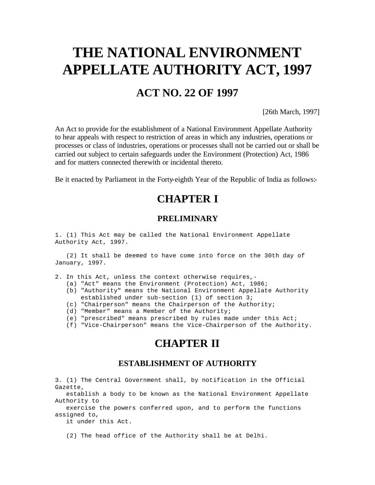# **THE NATIONAL ENVIRONMENT APPELLATE AUTHORITY ACT, 1997**

# **ACT NO. 22 OF 1997**

[26th March, 1997]

An Act to provide for the establishment of a National Environment Appellate Authority to hear appeals with respect to restriction of areas in which any industries, operations or processes or class of industries, operations or processes shall not be carried out or shall be carried out subject to certain safeguards under the Environment (Protection) Act, 1986 and for matters connected therewith or incidental thereto.

Be it enacted by Parliament in the Forty-eighth Year of the Republic of India as follows:-

# **CHAPTER I**

#### **PRELIMINARY**

1. (1) This Act may be called the National Environment Appellate Authority Act, 1997.

 (2) It shall be deemed to have come into force on the 30th day of January, 1997.

- 2. In this Act, unless the context otherwise requires,-
	- (a) "Act" means the Environment (Protection) Act, 1986;
	- (b) "Authority" means the National Environment Appellate Authority established under sub-section (1) of section 3;
	- (c) "Chairperson" means the Chairperson of the Authority;
	- (d) "Member" means a Member of the Authority;
	- (e) "prescribed" means prescribed by rules made under this Act;
	- (f) "Vice-Chairperson" means the Vice-Chairperson of the Authority.

## **CHAPTER II**

#### **ESTABLISHMENT OF AUTHORITY**

3. (1) The Central Government shall, by notification in the Official Gazette,

 establish a body to be known as the National Environment Appellate Authority to

 exercise the powers conferred upon, and to perform the functions assigned to,

it under this Act.

(2) The head office of the Authority shall be at Delhi.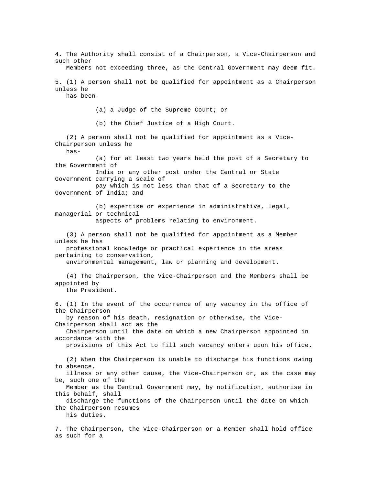4. The Authority shall consist of a Chairperson, a Vice-Chairperson and such other

Members not exceeding three, as the Central Government may deem fit.

5. (1) A person shall not be qualified for appointment as a Chairperson unless he

has been-

(a) a Judge of the Supreme Court; or

(b) the Chief Justice of a High Court.

 (2) A person shall not be qualified for appointment as a Vice-Chairperson unless he

has-

 (a) for at least two years held the post of a Secretary to the Government of

 India or any other post under the Central or State Government carrying a scale of

 pay which is not less than that of a Secretary to the Government of India; and

 (b) expertise or experience in administrative, legal, managerial or technical

aspects of problems relating to environment.

 (3) A person shall not be qualified for appointment as a Member unless he has

 professional knowledge or practical experience in the areas pertaining to conservation,

environmental management, law or planning and development.

 (4) The Chairperson, the Vice-Chairperson and the Members shall be appointed by

the President.

6. (1) In the event of the occurrence of any vacancy in the office of the Chairperson

 by reason of his death, resignation or otherwise, the Vice-Chairperson shall act as the

 Chairperson until the date on which a new Chairperson appointed in accordance with the

provisions of this Act to fill such vacancy enters upon his office.

 (2) When the Chairperson is unable to discharge his functions owing to absence,

 illness or any other cause, the Vice-Chairperson or, as the case may be, such one of the

 Member as the Central Government may, by notification, authorise in this behalf, shall

 discharge the functions of the Chairperson until the date on which the Chairperson resumes

his duties.

7. The Chairperson, the Vice-Chairperson or a Member shall hold office as such for a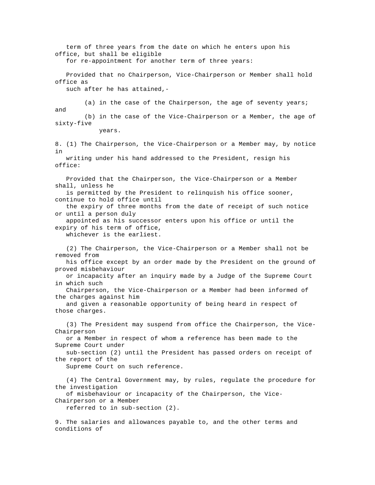term of three years from the date on which he enters upon his office, but shall be eligible for re-appointment for another term of three years: Provided that no Chairperson, Vice-Chairperson or Member shall hold office as such after he has attained,- (a) in the case of the Chairperson, the age of seventy years; and (b) in the case of the Vice-Chairperson or a Member, the age of sixty-five years. 8. (1) The Chairperson, the Vice-Chairperson or a Member may, by notice in writing under his hand addressed to the President, resign his office: Provided that the Chairperson, the Vice-Chairperson or a Member shall, unless he is permitted by the President to relinquish his office sooner, continue to hold office until the expiry of three months from the date of receipt of such notice or until a person duly appointed as his successor enters upon his office or until the expiry of his term of office, whichever is the earliest. (2) The Chairperson, the Vice-Chairperson or a Member shall not be removed from his office except by an order made by the President on the ground of proved misbehaviour or incapacity after an inquiry made by a Judge of the Supreme Court in which such Chairperson, the Vice-Chairperson or a Member had been informed of the charges against him and given a reasonable opportunity of being heard in respect of those charges. (3) The President may suspend from office the Chairperson, the Vice-Chairperson or a Member in respect of whom a reference has been made to the Supreme Court under sub-section (2) until the President has passed orders on receipt of the report of the Supreme Court on such reference. (4) The Central Government may, by rules, regulate the procedure for the investigation of misbehaviour or incapacity of the Chairperson, the Vice-Chairperson or a Member referred to in sub-section (2). 9. The salaries and allowances payable to, and the other terms and

conditions of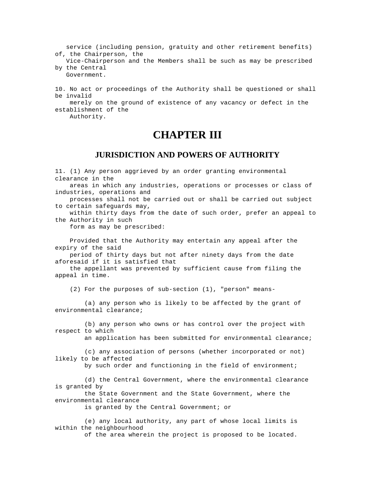service (including pension, gratuity and other retirement benefits) of, the Chairperson, the

 Vice-Chairperson and the Members shall be such as may be prescribed by the Central

Government.

10. No act or proceedings of the Authority shall be questioned or shall be invalid

 merely on the ground of existence of any vacancy or defect in the establishment of the

Authority.

### **CHAPTER III**

#### **JURISDICTION AND POWERS OF AUTHORITY**

11. (1) Any person aggrieved by an order granting environmental clearance in the

 areas in which any industries, operations or processes or class of industries, operations and

 processes shall not be carried out or shall be carried out subject to certain safeguards may,

 within thirty days from the date of such order, prefer an appeal to the Authority in such

form as may be prescribed:

 Provided that the Authority may entertain any appeal after the expiry of the said

 period of thirty days but not after ninety days from the date aforesaid if it is satisfied that

 the appellant was prevented by sufficient cause from filing the appeal in time.

(2) For the purposes of sub-section (1), "person" means-

 (a) any person who is likely to be affected by the grant of environmental clearance;

 (b) any person who owns or has control over the project with respect to which

an application has been submitted for environmental clearance;

 (c) any association of persons (whether incorporated or not) likely to be affected

by such order and functioning in the field of environment;

 (d) the Central Government, where the environmental clearance is granted by

 the State Government and the State Government, where the environmental clearance

is granted by the Central Government; or

 (e) any local authority, any part of whose local limits is within the neighbourhood

of the area wherein the project is proposed to be located.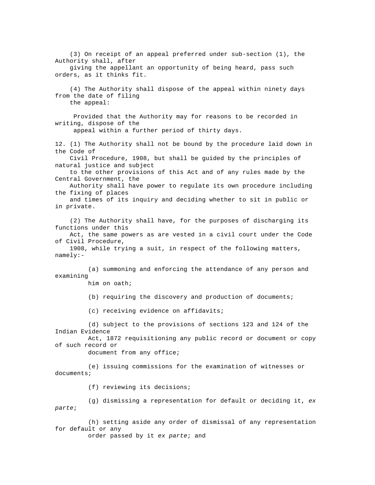(3) On receipt of an appeal preferred under sub-section (1), the Authority shall, after giving the appellant an opportunity of being heard, pass such orders, as it thinks fit. (4) The Authority shall dispose of the appeal within ninety days from the date of filing the appeal: Provided that the Authority may for reasons to be recorded in writing, dispose of the appeal within a further period of thirty days. 12. (1) The Authority shall not be bound by the procedure laid down in the Code of Civil Procedure, 1908, but shall be guided by the principles of natural justice and subject to the other provisions of this Act and of any rules made by the Central Government, the Authority shall have power to regulate its own procedure including the fixing of places and times of its inquiry and deciding whether to sit in public or in private. (2) The Authority shall have, for the purposes of discharging its functions under this Act, the same powers as are vested in a civil court under the Code of Civil Procedure, 1908, while trying a suit, in respect of the following matters, namely:- (a) summoning and enforcing the attendance of any person and examining him on oath; (b) requiring the discovery and production of documents; (c) receiving evidence on affidavits; (d) subject to the provisions of sections 123 and 124 of the Indian Evidence Act, 1872 requisitioning any public record or document or copy of such record or document from any office; (e) issuing commissions for the examination of witnesses or documents; (f) reviewing its decisions; (g) dismissing a representation for default or deciding it, *ex parte*; (h) setting aside any order of dismissal of any representation for default or any order passed by it *ex parte*; and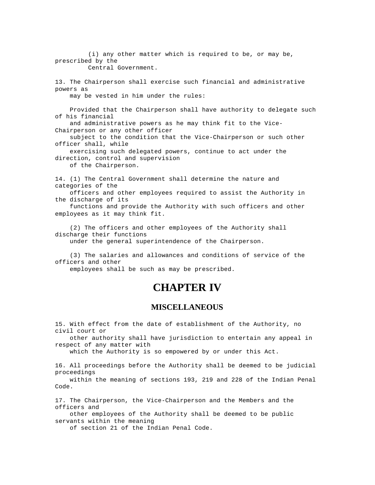(i) any other matter which is required to be, or may be, prescribed by the Central Government. 13. The Chairperson shall exercise such financial and administrative powers as may be vested in him under the rules: Provided that the Chairperson shall have authority to delegate such of his financial and administrative powers as he may think fit to the Vice-Chairperson or any other officer subject to the condition that the Vice-Chairperson or such other officer shall, while exercising such delegated powers, continue to act under the direction, control and supervision of the Chairperson. 14. (1) The Central Government shall determine the nature and categories of the officers and other employees required to assist the Authority in the discharge of its functions and provide the Authority with such officers and other

- employees as it may think fit. (2) The officers and other employees of the Authority shall
- discharge their functions

under the general superintendence of the Chairperson.

 (3) The salaries and allowances and conditions of service of the officers and other

employees shall be such as may be prescribed.

### **CHAPTER IV**

#### **MISCELLANEOUS**

15. With effect from the date of establishment of the Authority, no civil court or

 other authority shall have jurisdiction to entertain any appeal in respect of any matter with

which the Authority is so empowered by or under this Act.

16. All proceedings before the Authority shall be deemed to be judicial proceedings

 within the meaning of sections 193, 219 and 228 of the Indian Penal Code.

17. The Chairperson, the Vice-Chairperson and the Members and the officers and

 other employees of the Authority shall be deemed to be public servants within the meaning

of section 21 of the Indian Penal Code.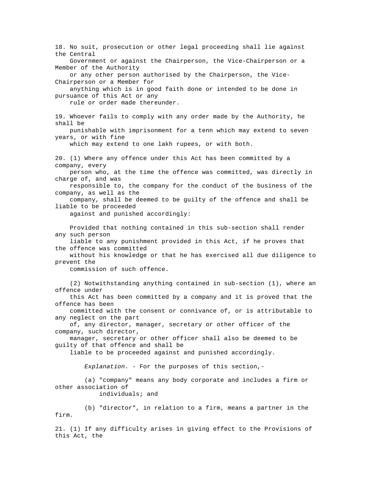18. No suit, prosecution or other legal proceeding shall lie against the Central Government or against the Chairperson, the Vice-Chairperson or a Member of the Authority or any other person authorised by the Chairperson, the Vice-Chairperson or a Member for anything which is in good faith done or intended to be done in pursuance of this Act or any rule or order made thereunder. 19. Whoever fails to comply with any order made by the Authority, he shall be punishable with imprisonment for a tenn which may extend to seven years, or with fine which may extend to one lakh rupees, or with both. 20. (1) Where any offence under this Act has been committed by a company, every person who, at the time the offence was committed, was directly in charge of, and was responsible to, the company for the conduct of the business of the company, as well as the company, shall be deemed to be guilty of the offence and shall be liable to be proceeded against and punished accordingly: Provided that nothing contained in this sub-section shall render any such person liable to any punishment provided in this Act, if he proves that the offence was committed without his knowledge or that he has exercised all due diligence to prevent the commission of such offence. (2) Notwithstanding anything contained in sub-section (1), where an offence under this Act has been committed by a company and it is proved that the offence has been committed with the consent or connivance of, or is attributable to any neglect on the part of, any director, manager, secretary or other officer of the company, such director, manager, secretary or other officer shall also be deemed to be guilty of that offence and shall be liable to be proceeded against and punished accordingly. *Explanation*. - For the purposes of this section,- (a) "company" means any body corporate and includes a firm or other association of individuals; and (b) "director", in relation to a firm, means a partner in the firm. 21. (1) If any difficulty arises in giving effect to the Provisions of this Act, the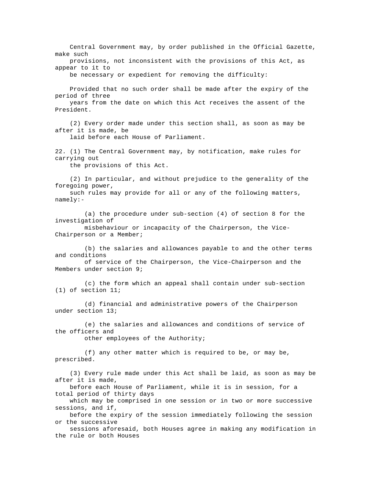Central Government may, by order published in the Official Gazette, make such provisions, not inconsistent with the provisions of this Act, as appear to it to be necessary or expedient for removing the difficulty: Provided that no such order shall be made after the expiry of the period of three years from the date on which this Act receives the assent of the President. (2) Every order made under this section shall, as soon as may be after it is made, be laid before each House of Parliament. 22. (1) The Central Government may, by notification, make rules for carrying out the provisions of this Act. (2) In particular, and without prejudice to the generality of the foregoing power, such rules may provide for all or any of the following matters, namely:- (a) the procedure under sub-section (4) of section 8 for the investigation of misbehaviour or incapacity of the Chairperson, the Vice-Chairperson or a Member; (b) the salaries and allowances payable to and the other terms and conditions of service of the Chairperson, the Vice-Chairperson and the Members under section 9; (c) the form which an appeal shall contain under sub-section (1) of section 11; (d) financial and administrative powers of the Chairperson under section 13; (e) the salaries and allowances and conditions of service of the officers and other employees of the Authority; (f) any other matter which is required to be, or may be, prescribed. (3) Every rule made under this Act shall be laid, as soon as may be after it is made, before each House of Parliament, while it is in session, for a total period of thirty days which may be comprised in one session or in two or more successive sessions, and if, before the expiry of the session immediately following the session or the successive sessions aforesaid, both Houses agree in making any modification in the rule or both Houses